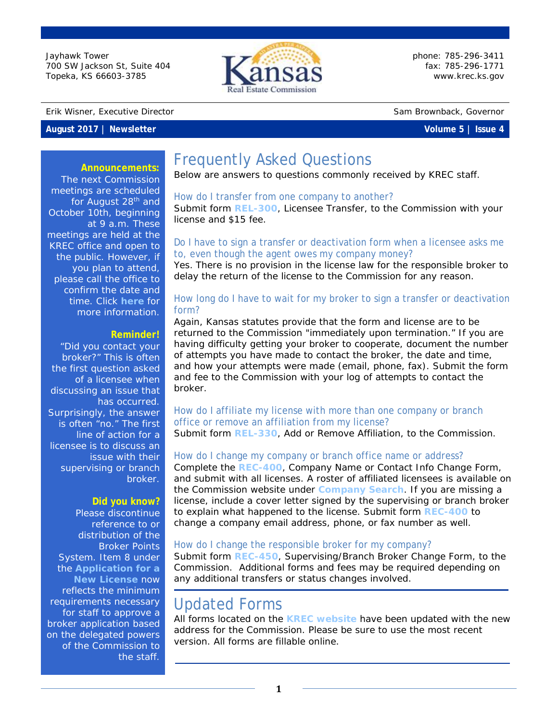Jayhawk Tower 700 SW Jackson St, Suite 404 Topeka, KS 66603-3785



phone: 785-296-3411 fax: 785-296-1771 [www.krec.ks.gov](http://www.krec.ks.gov/)

Erik Wisner, Executive Director Sam Brownback, Governor

### **August 2017 | Newsletter Volume 5 | Issue 4**

#### **Announcements:**

The next Commission meetings are scheduled for August 28<sup>th</sup> and October 10th, beginning at 9 a.m. These meetings are held at the KREC office and open to the public. However, if you plan to attend, please call the office to confirm the date and time. Click **[here](http://krec.ks.gov/commission/commission-meetings)** for more information.

#### **Reminder!**

"Did you contact your broker?" This is often the first question asked of a licensee when discussing an issue that has occurred. Surprisingly, the answer is often "no." The first line of action for a licensee is to discuss an issue with their supervising or branch broker.

#### **Did you know?**

Please discontinue reference to or distribution of the Broker Points System. Item 8 under the **[Application for a](http://www.krec.ks.gov/Application)  [New License](http://www.krec.ks.gov/Application)** now reflects the minimum requirements necessary for staff to approve a broker application based on the delegated powers of the Commission to the staff.

# Frequently Asked Questions

Below are answers to questions commonly received by KREC staff.

#### How do I transfer from one company to another?

Submit form **[REL-300](http://www.krec.ks.gov/docs/default-source/forms/rel-300-transfer-form.pdf?sfvrsn=6)**, Licensee Transfer, to the Commission with your license and \$15 fee.

### Do I have to sign a transfer or deactivation form when a licensee asks me to, even though the agent owes my company money?

Yes. There is no provision in the license law for the responsible broker to delay the return of the license to the Commission for any reason.

## How long do I have to wait for my broker to sign a transfer or deactivation form?

Again, Kansas statutes provide that the form and license are to be returned to the Commission "immediately upon termination." If you are having difficulty getting your broker to cooperate, document the number of attempts you have made to contact the broker, the date and time, and how your attempts were made (email, phone, fax). Submit the form and fee to the Commission with your log of attempts to contact the broker.

## How do I affiliate my license with more than one company or branch office or remove an affiliation from my license?

Submit form **[REL-330](http://www.krec.ks.gov/docs/default-source/forms/rel-330-add-or-remove-additional-affiliation65a7000f62fe6c688173ff0000b1b3c4.pdf?sfvrsn=12)**, Add or Remove Affiliation, to the Commission.

## How do I change my company or branch office name or address?

Complete the **[REC-400](http://www.krec.ks.gov/docs/default-source/forms/rec-400-company-name-or-contact-info-chg.pdf?sfvrsn=8)**, Company Name or Contact Info Change Form, and submit with all licenses. A roster of affiliated licensees is available on the Commission website under **[Company Search](http://www.krec.ks.gov/licensing/company-search)**. If you are missing a license, include a cover letter signed by the supervising or branch broker to explain what happened to the license. Submit form **[REC-400](http://www.krec.ks.gov/docs/default-source/forms/rec-400-company-name-or-contact-info-chg.pdf?sfvrsn=8)** to change a company email address, phone, or fax number as well.

### How do I change the responsible broker for my company?

Submit form **[REC-450](http://www.krec.ks.gov/docs/default-source/forms/rec-450-change-supervising-broker-form8ac6000f62fe6c688173ff0000b1b3c4.pdf?sfvrsn=6)**, Supervising/Branch Broker Change Form, to the Commission. Additional forms and fees may be required depending on any additional transfers or status changes involved.

# Updated Forms

All forms located on the **[KREC website](http://krec.ks.gov/form/library)** have been updated with the new address for the Commission. Please be sure to use the most recent version. All forms are fillable online.